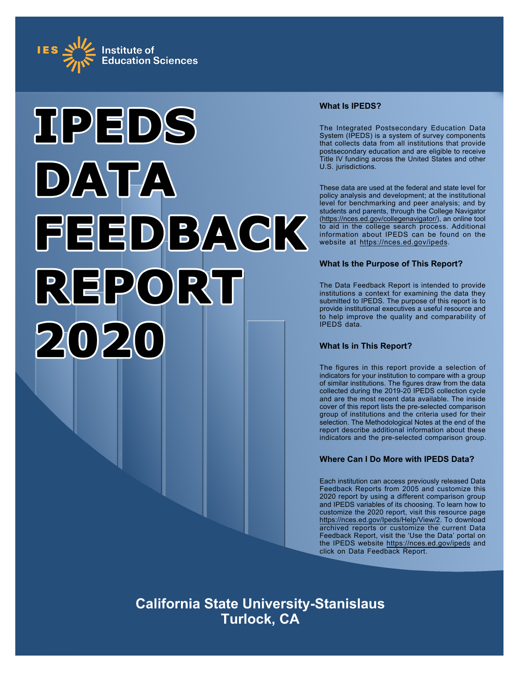



#### **What Is IPEDS?**

The Integrated Postsecondary Education Data System (IPEDS) is a system of survey components that collects data from all institutions that provide postsecondary education and are eligible to receive Title IV funding across the United States and other U.S. jurisdictions.

These data are used at the federal and state level for policy analysis and development; at the institutional level for benchmarking and peer analysis; and by students and parents, through the College Navigator ([https://nces.ed.gov/collegenavigator/\)](https://nces.ed.gov/collegenavigator/), an online tool to aid in the college search process. Additional information about IPEDS can be found on the website at<https://nces.ed.gov/ipeds>.

#### **What Is the Purpose of This Report?**

The Data Feedback Report is intended to provide institutions a context for examining the data they submitted to IPEDS. The purpose of this report is to provide institutional executives a useful resource and to help improve the quality and comparability of IPEDS data.

### **What Is in This Report?**

The figures in this report provide a selection of indicators for your institution to compare with a group of similar institutions. The figures draw from the data collected during the 2019-20 IPEDS collection cycle and are the most recent data available. The inside cover of this report lists the pre-selected comparison group of institutions and the criteria used for their selection. The Methodological Notes at the end of the report describe additional information about these indicators and the pre-selected comparison group.

### **Where Can I Do More with IPEDS Data?**

Each institution can access previously released Data Feedback Reports from 2005 and customize this 2020 report by using a different comparison group and IPEDS variables of its choosing. To learn how to customize the 2020 report, visit this resource page <https://nces.ed.gov/Ipeds/Help/View/2>. To download archived reports or customize the current Data Feedback Report, visit the 'Use the Data' portal on the IPEDS website<https://nces.ed.gov/ipeds> and click on Data Feedback Report.

**California State University-Stanislaus Turlock, CA**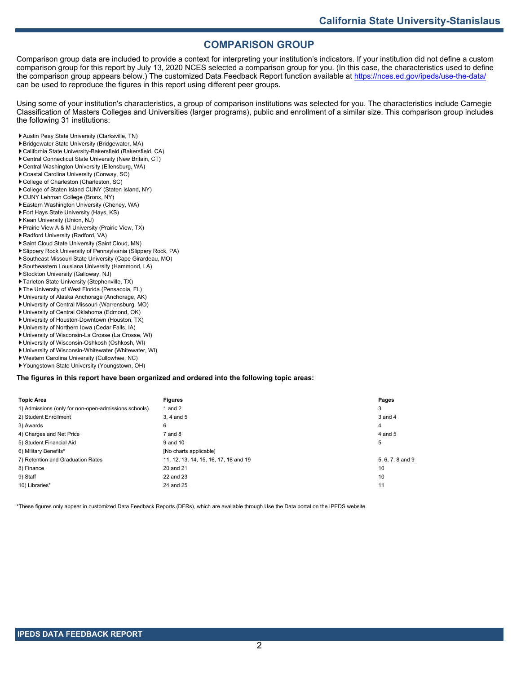# **COMPARISON GROUP**

Comparison group data are included to provide a context for interpreting your institution's indicators. If your institution did not define a custom comparison group for this report by July 13, 2020 NCES selected a comparison group for you. (In this case, the characteristics used to define the comparison group appears below.) The customized Data Feedback Report function available at<https://nces.ed.gov/ipeds/use-the-data/> can be used to reproduce the figures in this report using different peer groups.

Using some of your institution's characteristics, a group of comparison institutions was selected for you. The characteristics include Carnegie Classification of Masters Colleges and Universities (larger programs), public and enrollment of a similar size. This comparison group includes the following 31 institutions:

- Austin Peay State University (Clarksville, TN)
- Bridgewater State University (Bridgewater, MA)
- California State University-Bakersfield (Bakersfield, CA)
- Central Connecticut State University (New Britain, CT)
- Central Washington University (Ellensburg, WA)
- Coastal Carolina University (Conway, SC)
- College of Charleston (Charleston, SC)
- College of Staten Island CUNY (Staten Island, NY)
- CUNY Lehman College (Bronx, NY)
- Eastern Washington University (Cheney, WA)
- Fort Hays State University (Hays, KS)
- Kean University (Union, NJ)
- Prairie View A & M University (Prairie View, TX)
- Radford University (Radford, VA)
- Saint Cloud State University (Saint Cloud, MN)
- Slippery Rock University of Pennsylvania (Slippery Rock, PA)
- Southeast Missouri State University (Cape Girardeau, MO)
- Southeastern Louisiana University (Hammond, LA)
- Stockton University (Galloway, NJ)
- Tarleton State University (Stephenville, TX)
- The University of West Florida (Pensacola, FL)
- University of Alaska Anchorage (Anchorage, AK)
- University of Central Missouri (Warrensburg, MO)
- University of Central Oklahoma (Edmond, OK)
- University of Houston-Downtown (Houston, TX)
- University of Northern Iowa (Cedar Falls, IA)
- University of Wisconsin-La Crosse (La Crosse, WI) University of Wisconsin-Oshkosh (Oshkosh, WI)
- University of Wisconsin-Whitewater (Whitewater, WI)
- Western Carolina University (Cullowhee, NC)
- Youngstown State University (Youngstown, OH)

#### **The figures in this report have been organized and ordered into the following topic areas:**

| <b>Topic Area</b>                                    | <b>Figures</b>                        | Pages            |
|------------------------------------------------------|---------------------------------------|------------------|
| 1) Admissions (only for non-open-admissions schools) | 1 and $2$                             | 3                |
| 2) Student Enrollment                                | 3.4 and 5                             | 3 and 4          |
| 3) Awards                                            | 6                                     | 4                |
| 4) Charges and Net Price                             | 7 and 8                               | 4 and 5          |
| 5) Student Financial Aid                             | 9 and 10                              | 5                |
| 6) Military Benefits*                                | [No charts applicable]                |                  |
| 7) Retention and Graduation Rates                    | 11, 12, 13, 14, 15, 16, 17, 18 and 19 | 5, 6, 7, 8 and 9 |
| 8) Finance                                           | 20 and 21                             | 10               |
| 9) Staff                                             | 22 and 23                             | 10               |
| 10) Libraries*                                       | 24 and 25                             | 11               |

\*These figures only appear in customized Data Feedback Reports (DFRs), which are available through Use the Data portal on the IPEDS website.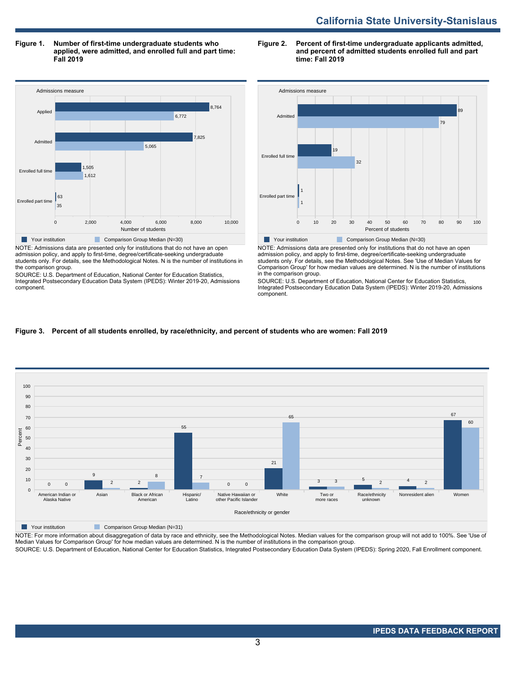**Figure 1. Number of first-time undergraduate students who applied, were admitted, and enrolled full and part time: Fall 2019**



NOTE: Admissions data are presented only for institutions that do not have an open admission policy, and apply to first-time, degree/certificate-seeking undergraduate students only. For details, see the Methodological Notes. N is the number of institutions in the comparison group.

SOURCE: U.S. Department of Education, National Center for Education Statistics, Integrated Postsecondary Education Data System (IPEDS): Winter 2019-20, Admissions component.

#### **Figure 2. Percent of first-time undergraduate applicants admitted, and percent of admitted students enrolled full and part time: Fall 2019**



NOTE: Admissions data are presented only for institutions that do not have an open admission policy, and apply to first-time, degree/certificate-seeking undergraduate students only. For details, see the Methodological Notes. See 'Use of Median Values for Comparison Group' for how median values are determined. N is the number of institutions in the comparison group.

SOURCE: U.S. Department of Education, National Center for Education Statistics, Integrated Postsecondary Education Data System (IPEDS): Winter 2019-20, Admissions component.

#### **Figure 3. Percent of all students enrolled, by race/ethnicity, and percent of students who are women: Fall 2019**



Your institution **Comparison Group Median (N=31)** 

NOTE: For more information about disaggregation of data by race and ethnicity, see the Methodological Notes. Median values for the comparison group will not add to 100%. See 'Use of Median Values for Comparison Group' for how median values are determined. N is the number of institutions in the comparison group.

SOURCE: U.S. Department of Education, National Center for Education Statistics, Integrated Postsecondary Education Data System (IPEDS): Spring 2020, Fall Enrollment component.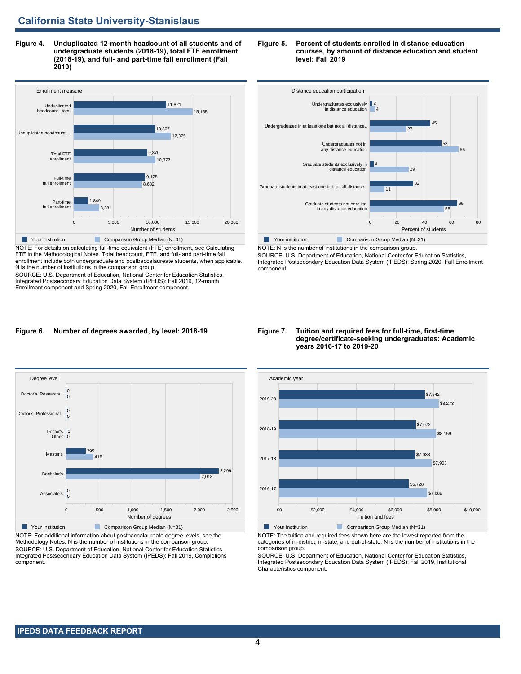**Figure 4. Unduplicated 12-month headcount of all students and of undergraduate students (2018-19), total FTE enrollment (2018-19), and full- and part-time fall enrollment (Fall 2019)**



NOTE: For details on calculating full-time equivalent (FTE) enrollment, see Calculating FTE in the Methodological Notes. Total headcount, FTE, and full- and part-time fall enrollment include both undergraduate and postbaccalaureate students, when applicable. N is the number of institutions in the comparison group.

SOURCE: U.S. Department of Education, National Center for Education Statistics, Integrated Postsecondary Education Data System (IPEDS): Fall 2019, 12-month Enrollment component and Spring 2020, Fall Enrollment component.

#### **Figure 5. Percent of students enrolled in distance education courses, by amount of distance education and student level: Fall 2019**



SOURCE: U.S. Department of Education, National Center for Education Statistics, Integrated Postsecondary Education Data System (IPEDS): Spring 2020, Fall Enrollment component.

#### **Figure 6. Number of degrees awarded, by level: 2018-19**



NOTE: For additional information about postbaccalaureate degree levels, see the Methodology Notes. N is the number of institutions in the comparison group. SOURCE: U.S. Department of Education, National Center for Education Statistics, Integrated Postsecondary Education Data System (IPEDS): Fall 2019, Completions component.

#### **Figure 7. Tuition and required fees for full-time, first-time degree/certificate-seeking undergraduates: Academic years 2016-17 to 2019-20**



NOTE: The tuition and required fees shown here are the lowest reported from the categories of in-district, in-state, and out-of-state. N is the number of institutions in the comparison group.

SOURCE: U.S. Department of Education, National Center for Education Statistics, Integrated Postsecondary Education Data System (IPEDS): Fall 2019, Institutional Characteristics component.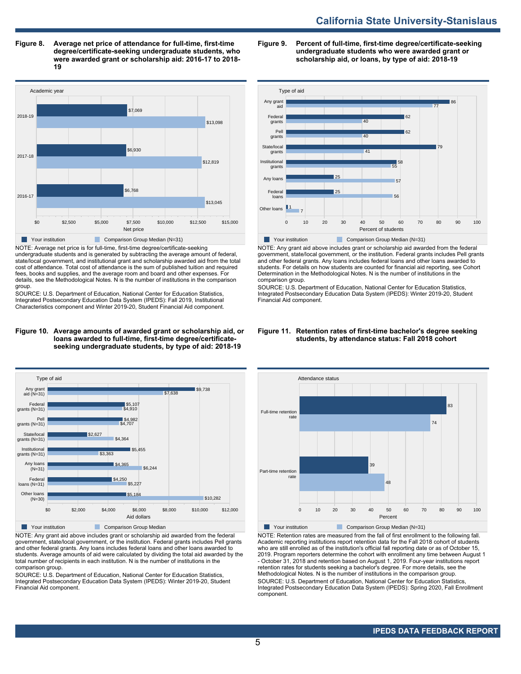**Figure 8. Average net price of attendance for full-time, first-time degree/certificate-seeking undergraduate students, who were awarded grant or scholarship aid: 2016-17 to 2018- 19**



NOTE: Average net price is for full-time, first-time degree/certificate-seeking undergraduate students and is generated by subtracting the average amount of federal, state/local government, and institutional grant and scholarship awarded aid from the total cost of attendance. Total cost of attendance is the sum of published tuition and required fees, books and supplies, and the average room and board and other expenses. For details, see the Methodological Notes. N is the number of institutions in the comparison group.

SOURCE: U.S. Department of Education, National Center for Education Statistics, Integrated Postsecondary Education Data System (IPEDS): Fall 2019, Institutional Characteristics component and Winter 2019-20, Student Financial Aid component.

#### **Figure 10. Average amounts of awarded grant or scholarship aid, or loans awarded to full-time, first-time degree/certificateseeking undergraduate students, by type of aid: 2018-19**



NOTE: Any grant aid above includes grant or scholarship aid awarded from the federal government, state/local government, or the institution. Federal grants includes Pell grants and other federal grants. Any loans includes federal loans and other loans awarded to students. Average amounts of aid were calculated by dividing the total aid awarded by the total number of recipients in each institution. N is the number of institutions in the comparison group.

SOURCE: U.S. Department of Education, National Center for Education Statistics, Integrated Postsecondary Education Data System (IPEDS): Winter 2019-20, Student Financial Aid component.

**Figure 9. Percent of full-time, first-time degree/certificate-seeking undergraduate students who were awarded grant or scholarship aid, or loans, by type of aid: 2018-19**



NOTE: Any grant aid above includes grant or scholarship aid awarded from the federal government, state/local government, or the institution. Federal grants includes Pell grants and other federal grants. Any loans includes federal loans and other loans awarded to students. For details on how students are counted for financial aid reporting, see Cohort Determination in the Methodological Notes. N is the number of institutions in the comparison group.

SOURCE: U.S. Department of Education, National Center for Education Statistics, Integrated Postsecondary Education Data System (IPEDS): Winter 2019-20, Student Financial Aid component.

#### **Figure 11. Retention rates of first-time bachelor's degree seeking students, by attendance status: Fall 2018 cohort**



NOTE: Retention rates are measured from the fall of first enrollment to the following fall. Academic reporting institutions report retention data for the Fall 2018 cohort of students who are still enrolled as of the institution's official fall reporting date or as of October 15, 2019. Program reporters determine the cohort with enrollment any time between August 1 - October 31, 2018 and retention based on August 1, 2019. Four-year institutions report retention rates for students seeking a bachelor's degree. For more details, see the Methodological Notes. N is the number of institutions in the comparison group. SOURCE: U.S. Department of Education, National Center for Education Statistics, Integrated Postsecondary Education Data System (IPEDS): Spring 2020, Fall Enrollment component.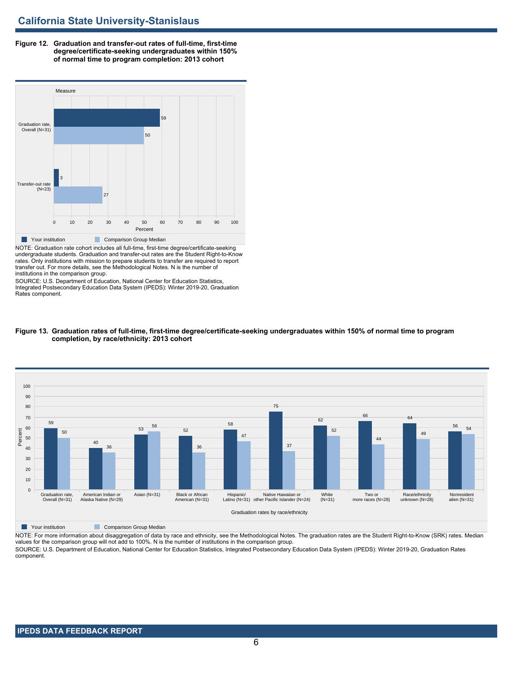**Figure 12. Graduation and transfer-out rates of full-time, first-time degree/certificate-seeking undergraduates within 150% of normal time to program completion: 2013 cohort**



NOTE: Graduation rate cohort includes all full-time, first-time degree/certificate-seeking undergraduate students. Graduation and transfer-out rates are the Student Right-to-Know rates. Only institutions with mission to prepare students to transfer are required to report transfer out. For more details, see the Methodological Notes. N is the number of institutions in the comparison group.

SOURCE: U.S. Department of Education, National Center for Education Statistics, Integrated Postsecondary Education Data System (IPEDS): Winter 2019-20, Graduation Rates component.



#### **Figure 13. Graduation rates of full-time, first-time degree/certificate-seeking undergraduates within 150% of normal time to program completion, by race/ethnicity: 2013 cohort**

**The Comparison Group Median** Comparison Group Median

NOTE: For more information about disaggregation of data by race and ethnicity, see the Methodological Notes. The graduation rates are the Student Right-to-Know (SRK) rates. Median values for the comparison group will not add to 100%. N is the number of institutions in the comparison group.

SOURCE: U.S. Department of Education, National Center for Education Statistics, Integrated Postsecondary Education Data System (IPEDS): Winter 2019-20, Graduation Rates component.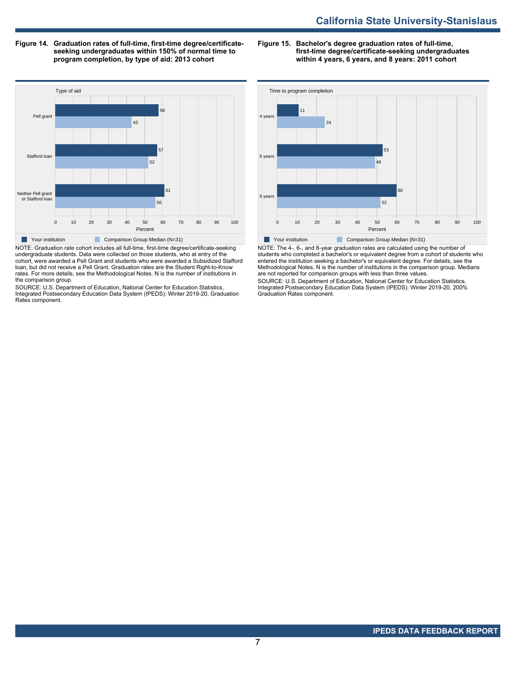**Figure 14. Graduation rates of full-time, first-time degree/certificateseeking undergraduates within 150% of normal time to program completion, by type of aid: 2013 cohort**

**Figure 15. Bachelor's degree graduation rates of full-time, first-time degree/certificate-seeking undergraduates within 4 years, 6 years, and 8 years: 2011 cohort**



NOTE: Graduation rate cohort includes all full-time, first-time degree/certificate-seeking undergraduate students. Data were collected on those students, who at entry of the cohort, were awarded a Pell Grant and students who were awarded a Subsidized Stafford loan, but did not receive a Pell Grant. Graduation rates are the Student Right-to-Know rates. For more details, see the Methodological Notes. N is the number of institutions in the comparison group.

SOURCE: U.S. Department of Education, National Center for Education Statistics, Integrated Postsecondary Education Data System (IPEDS): Winter 2019-20, Graduation Rates component.



NOTE: The 4-, 6-, and 8-year graduation rates are calculated using the number of students who completed a bachelor's or equivalent degree from a cohort of students who entered the institution seeking a bachelor's or equivalent degree. For details, see the Methodological Notes. N is the number of institutions in the comparison group. Medians are not reported for comparison groups with less than three values.

SOURCE: U.S. Department of Education, National Center for Education Statistics, Integrated Postsecondary Education Data System (IPEDS): Winter 2019-20, 200% Graduation Rates component.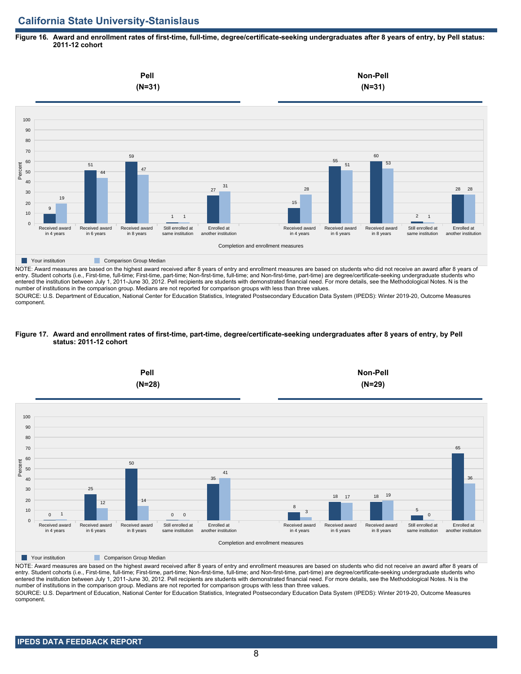#### **Figure 16. Award and enrollment rates of first-time, full-time, degree/certificate-seeking undergraduates after 8 years of entry, by Pell status: 2011-12 cohort**



NOTE: Award measures are based on the highest award received after 8 years of entry and enrollment measures are based on students who did not receive an award after 8 years of entry. Student cohorts (i.e., First-time, full-time; First-time, part-time; Non-first-time, full-time; and Non-first-time, part-time) are degree/certificate-seeking undergraduate students who entered the institution between July 1, 2011-June 30, 2012. Pell recipients are students with demonstrated financial need. For more details, see the Methodological Notes. N is the number of institutions in the comparison group. Medians are not reported for comparison groups with less than three values.

SOURCE: U.S. Department of Education, National Center for Education Statistics, Integrated Postsecondary Education Data System (IPEDS): Winter 2019-20, Outcome Measures component.

#### **Figure 17. Award and enrollment rates of first-time, part-time, degree/certificate-seeking undergraduates after 8 years of entry, by Pell status: 2011-12 cohort**



NOTE: Award measures are based on the highest award received after 8 years of entry and enrollment measures are based on students who did not receive an award after 8 years of entry. Student cohorts (i.e., First-time, full-time; First-time, part-time; Non-first-time, full-time; and Non-first-time, part-time) are degree/certificate-seeking undergraduate students who entered the institution between July 1, 2011-June 30, 2012. Pell recipients are students with demonstrated financial need. For more details, see the Methodological Notes. N is the number of institutions in the comparison group. Medians are not reported for comparison groups with less than three values. SOURCE: U.S. Department of Education, National Center for Education Statistics, Integrated Postsecondary Education Data System (IPEDS): Winter 2019-20, Outcome Measures component.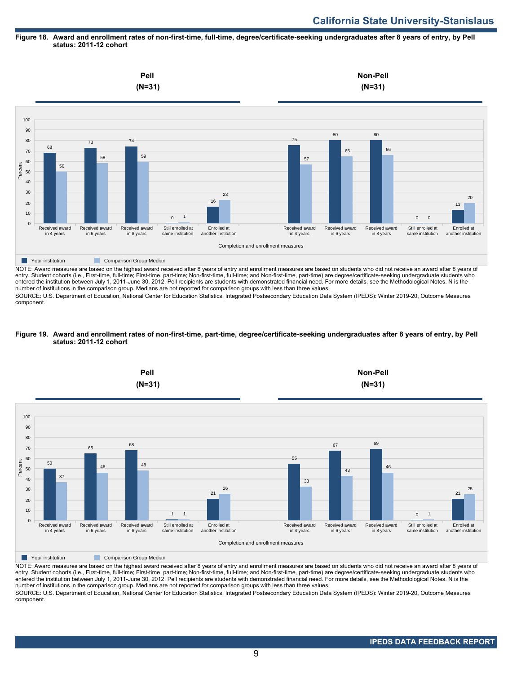#### **Figure 18. Award and enrollment rates of non-first-time, full-time, degree/certificate-seeking undergraduates after 8 years of entry, by Pell status: 2011-12 cohort**



entry. Student cohorts (i.e., First-time, full-time; First-time, part-time; Non-first-time, full-time; and Non-first-time, part-time) are degree/certificate-seeking undergraduate students who entered the institution between July 1, 2011-June 30, 2012. Pell recipients are students with demonstrated financial need. For more details, see the Methodological Notes. N is the number of institutions in the comparison group. Medians are not reported for comparison groups with less than three values.

SOURCE: U.S. Department of Education, National Center for Education Statistics, Integrated Postsecondary Education Data System (IPEDS): Winter 2019-20, Outcome Measures component.

#### **Figure 19. Award and enrollment rates of non-first-time, part-time, degree/certificate-seeking undergraduates after 8 years of entry, by Pell status: 2011-12 cohort**



NOTE: Award measures are based on the highest award received after 8 years of entry and enrollment measures are based on students who did not receive an award after 8 years of entry. Student cohorts (i.e., First-time, full-time; First-time, part-time; Non-first-time, full-time; and Non-first-time, part-time) are degree/certificate-seeking undergraduate students who entered the institution between July 1, 2011-June 30, 2012. Pell recipients are students with demonstrated financial need. For more details, see the Methodological Notes. N is the number of institutions in the comparison group. Medians are not reported for comparison groups with less than three values. SOURCE: U.S. Department of Education, National Center for Education Statistics, Integrated Postsecondary Education Data System (IPEDS): Winter 2019-20, Outcome Measures component.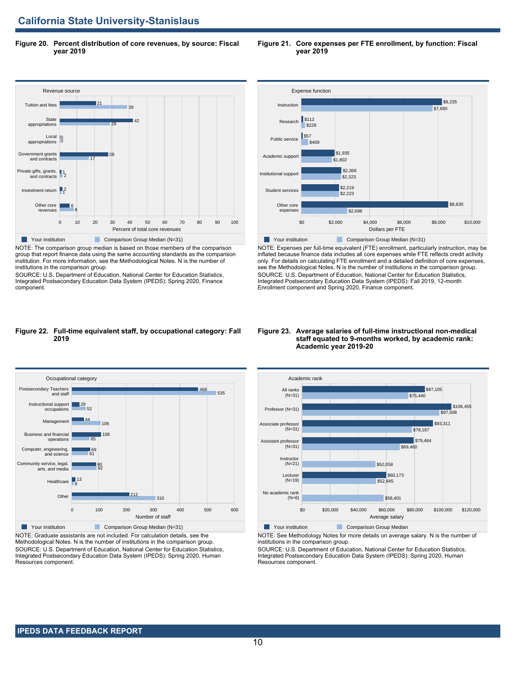**Figure 20. Percent distribution of core revenues, by source: Fiscal year 2019**



NOTE: The comparison group median is based on those members of the comparison group that report finance data using the same accounting standards as the comparison institution. For more information, see the Methodological Notes. N is the number of institutions in the comparison group.

Integrated Postsecondary Education Data System (IPEDS): Spring 2020, Finance component.



**Your institution** Comparison Group Median (N=31) NOTE: Expenses per full-time equivalent (FTE) enrollment, particularly instruction, may be inflated because finance data includes all core expenses while FTE reflects credit activity only. For details on calculating FTE enrollment and a detailed definition of core expenses, see the Methodological Notes. N is the number of institutions in the comparison group. SOURCE: U.S. Department of Education, National Center for Education Statistics, Integrated Postsecondary Education Data System (IPEDS): Fall 2019, 12-month Enrollment component and Spring 2020, Finance component.

#### **Figure 22. Full-time equivalent staff, by occupational category: Fall 2019**



NOTE: Graduate assistants are not included. For calculation details, see the Methodological Notes. N is the number of institutions in the comparison group. SOURCE: U.S. Department of Education, National Center for Education Statistics, Integrated Postsecondary Education Data System (IPEDS): Spring 2020, Human Resources component.

#### **Figure 23. Average salaries of full-time instructional non-medical staff equated to 9-months worked, by academic rank: Academic year 2019-20**



NOTE: See Methodology Notes for more details on average salary. N is the number of institutions in the comparison group.

SOURCE: U.S. Department of Education, National Center for Education Statistics, Integrated Postsecondary Education Data System (IPEDS): Spring 2020, Human Resources component.

# SOURCE: U.S. Department of Education, National Center for Education Statistics,

 **IPEDS DATA FEEDBACK REPORT** 

**Figure 21. Core expenses per FTE enrollment, by function: Fiscal year 2019**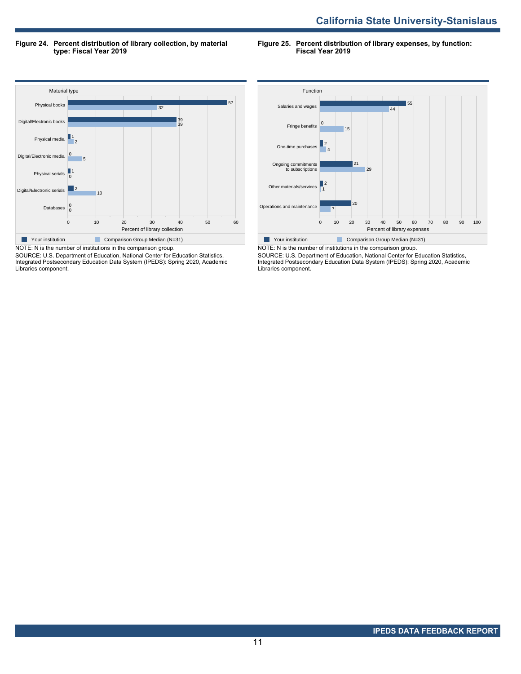**Figure 24. Percent distribution of library collection, by material type: Fiscal Year 2019**

**Figure 25. Percent distribution of library expenses, by function: Fiscal Year 2019**



SOURCE: U.S. Department of Education, National Center for Education Statistics, Integrated Postsecondary Education Data System (IPEDS): Spring 2020, Academic Libraries component.



NOTE: N is the number of institutions in the comparison group. SOURCE: U.S. Department of Education, National Center for Education Statistics, Integrated Postsecondary Education Data System (IPEDS): Spring 2020, Academic Libraries component.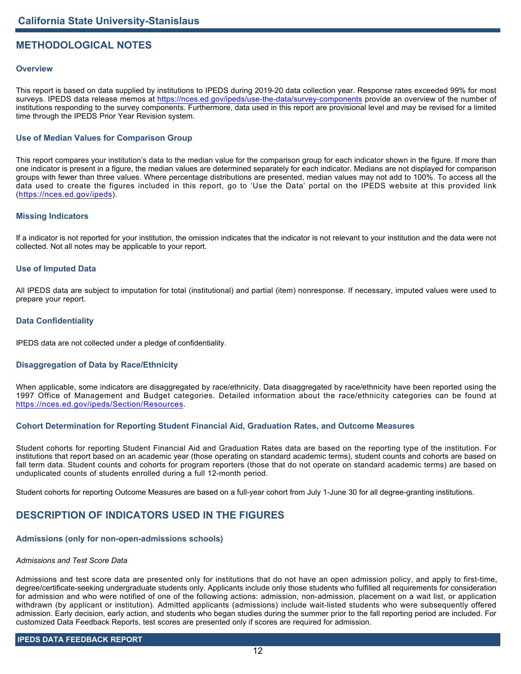# **METHODOLOGICAL NOTES**

#### **Overview**

This report is based on data supplied by institutions to IPEDS during 2019-20 data collection year. Response rates exceeded 99% for most surveys. IPEDS data release memos at <https://nces.ed.gov/ipeds/use-the-data/survey-components> provide an overview of the number of institutions responding to the survey components. Furthermore, data used in this report are provisional level and may be revised for a limited time through the IPEDS Prior Year Revision system.

#### **Use of Median Values for Comparison Group**

This report compares your institution's data to the median value for the comparison group for each indicator shown in the figure. If more than one indicator is present in a figure, the median values are determined separately for each indicator. Medians are not displayed for comparison groups with fewer than three values. Where percentage distributions are presented, median values may not add to 100%. To access all the data used to create the figures included in this report, go to 'Use the Data' portal on the IPEDS website at this provided link (<https://nces.ed.gov/ipeds>).

#### **Missing Indicators**

If a indicator is not reported for your institution, the omission indicates that the indicator is not relevant to your institution and the data were not collected. Not all notes may be applicable to your report.

#### **Use of Imputed Data**

All IPEDS data are subject to imputation for total (institutional) and partial (item) nonresponse. If necessary, imputed values were used to prepare your report.

#### **Data Confidentiality**

IPEDS data are not collected under a pledge of confidentiality.

## **Disaggregation of Data by Race/Ethnicity**

When applicable, some indicators are disaggregated by race/ethnicity. Data disaggregated by race/ethnicity have been reported using the 1997 Office of Management and Budget categories. Detailed information about the race/ethnicity categories can be found at <https://nces.ed.gov/ipeds/Section/Resources>.

#### **Cohort Determination for Reporting Student Financial Aid, Graduation Rates, and Outcome Measures**

Student cohorts for reporting Student Financial Aid and Graduation Rates data are based on the reporting type of the institution. For institutions that report based on an academic year (those operating on standard academic terms), student counts and cohorts are based on fall term data. Student counts and cohorts for program reporters (those that do not operate on standard academic terms) are based on unduplicated counts of students enrolled during a full 12-month period.

Student cohorts for reporting Outcome Measures are based on a full-year cohort from July 1-June 30 for all degree-granting institutions.

# **DESCRIPTION OF INDICATORS USED IN THE FIGURES**

#### **Admissions (only for non-open-admissions schools)**

#### *Admissions and Test Score Data*

Admissions and test score data are presented only for institutions that do not have an open admission policy, and apply to first-time, degree/certificate-seeking undergraduate students only. Applicants include only those students who fulfilled all requirements for consideration for admission and who were notified of one of the following actions: admission, non-admission, placement on a wait list, or application withdrawn (by applicant or institution). Admitted applicants (admissions) include wait-listed students who were subsequently offered admission. Early decision, early action, and students who began studies during the summer prior to the fall reporting period are included. For customized Data Feedback Reports, test scores are presented only if scores are required for admission.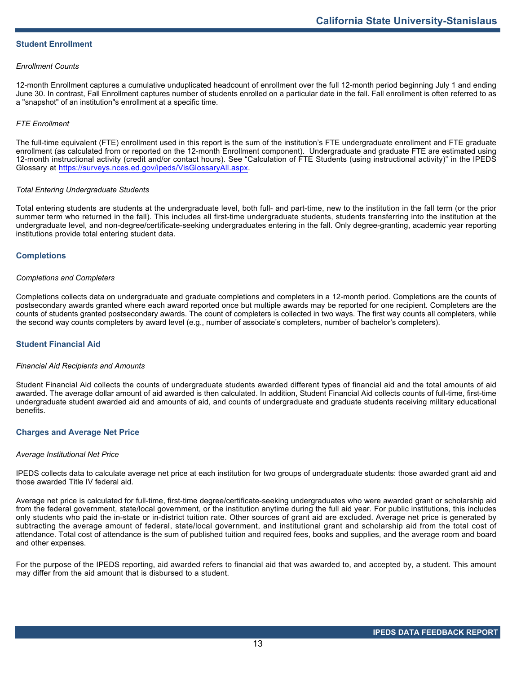#### **Student Enrollment**

#### *Enrollment Counts*

12-month Enrollment captures a cumulative unduplicated headcount of enrollment over the full 12-month period beginning July 1 and ending June 30. In contrast, Fall Enrollment captures number of students enrolled on a particular date in the fall. Fall enrollment is often referred to as a "snapshot" of an institution"s enrollment at a specific time.

#### *FTE Enrollment*

The full-time equivalent (FTE) enrollment used in this report is the sum of the institution's FTE undergraduate enrollment and FTE graduate enrollment (as calculated from or reported on the 12-month Enrollment component). Undergraduate and graduate FTE are estimated using 12-month instructional activity (credit and/or contact hours). See "Calculation of FTE Students (using instructional activity)" in the IPEDS Glossary at <https://surveys.nces.ed.gov/ipeds/VisGlossaryAll.aspx>.

#### *Total Entering Undergraduate Students*

Total entering students are students at the undergraduate level, both full- and part-time, new to the institution in the fall term (or the prior summer term who returned in the fall). This includes all first-time undergraduate students, students transferring into the institution at the undergraduate level, and non-degree/certificate-seeking undergraduates entering in the fall. Only degree-granting, academic year reporting institutions provide total entering student data.

#### **Completions**

#### *Completions and Completers*

Completions collects data on undergraduate and graduate completions and completers in a 12-month period. Completions are the counts of postsecondary awards granted where each award reported once but multiple awards may be reported for one recipient. Completers are the counts of students granted postsecondary awards. The count of completers is collected in two ways. The first way counts all completers, while the second way counts completers by award level (e.g., number of associate's completers, number of bachelor's completers).

#### **Student Financial Aid**

#### *Financial Aid Recipients and Amounts*

Student Financial Aid collects the counts of undergraduate students awarded different types of financial aid and the total amounts of aid awarded. The average dollar amount of aid awarded is then calculated. In addition, Student Financial Aid collects counts of full-time, first-time undergraduate student awarded aid and amounts of aid, and counts of undergraduate and graduate students receiving military educational benefits.

#### **Charges and Average Net Price**

#### *Average Institutional Net Price*

IPEDS collects data to calculate average net price at each institution for two groups of undergraduate students: those awarded grant aid and those awarded Title IV federal aid.

Average net price is calculated for full-time, first-time degree/certificate-seeking undergraduates who were awarded grant or scholarship aid from the federal government, state/local government, or the institution anytime during the full aid year. For public institutions, this includes only students who paid the in-state or in-district tuition rate. Other sources of grant aid are excluded. Average net price is generated by subtracting the average amount of federal, state/local government, and institutional grant and scholarship aid from the total cost of attendance. Total cost of attendance is the sum of published tuition and required fees, books and supplies, and the average room and board and other expenses.

For the purpose of the IPEDS reporting, aid awarded refers to financial aid that was awarded to, and accepted by, a student. This amount may differ from the aid amount that is disbursed to a student.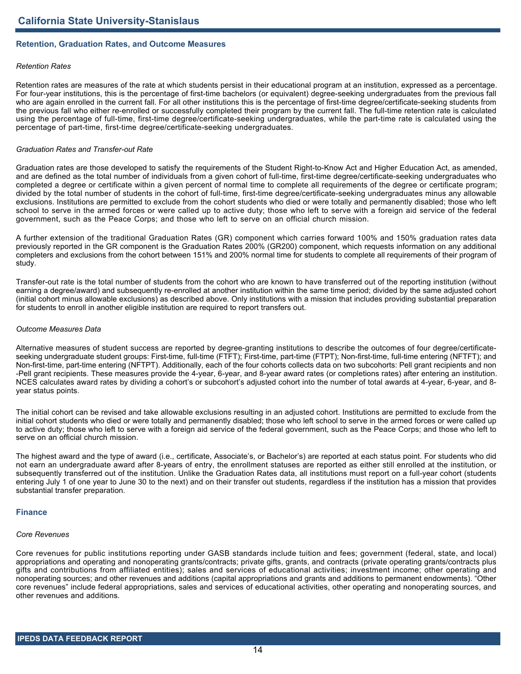#### **Retention, Graduation Rates, and Outcome Measures**

#### *Retention Rates*

Retention rates are measures of the rate at which students persist in their educational program at an institution, expressed as a percentage. For four-year institutions, this is the percentage of first-time bachelors (or equivalent) degree-seeking undergraduates from the previous fall who are again enrolled in the current fall. For all other institutions this is the percentage of first-time degree/certificate-seeking students from the previous fall who either re-enrolled or successfully completed their program by the current fall. The full-time retention rate is calculated using the percentage of full-time, first-time degree/certificate-seeking undergraduates, while the part-time rate is calculated using the percentage of part-time, first-time degree/certificate-seeking undergraduates.

#### *Graduation Rates and Transfer-out Rate*

Graduation rates are those developed to satisfy the requirements of the Student Right-to-Know Act and Higher Education Act, as amended, and are defined as the total number of individuals from a given cohort of full-time, first-time degree/certificate-seeking undergraduates who completed a degree or certificate within a given percent of normal time to complete all requirements of the degree or certificate program; divided by the total number of students in the cohort of full-time, first-time degree/certificate-seeking undergraduates minus any allowable exclusions. Institutions are permitted to exclude from the cohort students who died or were totally and permanently disabled; those who left school to serve in the armed forces or were called up to active duty; those who left to serve with a foreign aid service of the federal government, such as the Peace Corps; and those who left to serve on an official church mission.

A further extension of the traditional Graduation Rates (GR) component which carries forward 100% and 150% graduation rates data previously reported in the GR component is the Graduation Rates 200% (GR200) component, which requests information on any additional completers and exclusions from the cohort between 151% and 200% normal time for students to complete all requirements of their program of study.

Transfer-out rate is the total number of students from the cohort who are known to have transferred out of the reporting institution (without earning a degree/award) and subsequently re-enrolled at another institution within the same time period; divided by the same adjusted cohort (initial cohort minus allowable exclusions) as described above. Only institutions with a mission that includes providing substantial preparation for students to enroll in another eligible institution are required to report transfers out.

#### *Outcome Measures Data*

Alternative measures of student success are reported by degree-granting institutions to describe the outcomes of four degree/certificateseeking undergraduate student groups: First-time, full-time (FTFT); First-time, part-time (FTPT); Non-first-time, full-time entering (NFTFT); and Non-first-time, part-time entering (NFTPT). Additionally, each of the four cohorts collects data on two subcohorts: Pell grant recipients and non -Pell grant recipients. These measures provide the 4-year, 6-year, and 8-year award rates (or completions rates) after entering an institution. NCES calculates award rates by dividing a cohort's or subcohort's adjusted cohort into the number of total awards at 4-year, 6-year, and 8 year status points.

The initial cohort can be revised and take allowable exclusions resulting in an adjusted cohort. Institutions are permitted to exclude from the initial cohort students who died or were totally and permanently disabled; those who left school to serve in the armed forces or were called up to active duty; those who left to serve with a foreign aid service of the federal government, such as the Peace Corps; and those who left to serve on an official church mission.

The highest award and the type of award (i.e., certificate, Associate's, or Bachelor's) are reported at each status point. For students who did not earn an undergraduate award after 8-years of entry, the enrollment statuses are reported as either still enrolled at the institution, or subsequently transferred out of the institution. Unlike the Graduation Rates data, all institutions must report on a full-year cohort (students entering July 1 of one year to June 30 to the next) and on their transfer out students, regardless if the institution has a mission that provides substantial transfer preparation.

#### **Finance**

#### *Core Revenues*

Core revenues for public institutions reporting under GASB standards include tuition and fees; government (federal, state, and local) appropriations and operating and nonoperating grants/contracts; private gifts, grants, and contracts (private operating grants/contracts plus gifts and contributions from affiliated entities); sales and services of educational activities; investment income; other operating and nonoperating sources; and other revenues and additions (capital appropriations and grants and additions to permanent endowments). "Other core revenues" include federal appropriations, sales and services of educational activities, other operating and nonoperating sources, and other revenues and additions.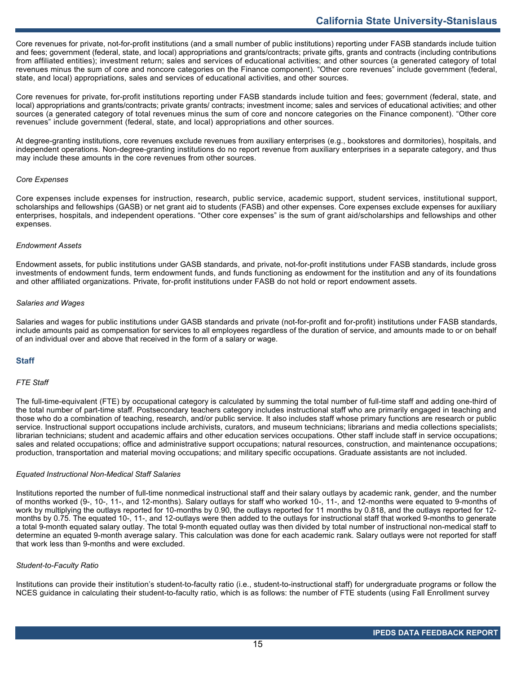Core revenues for private, not-for-profit institutions (and a small number of public institutions) reporting under FASB standards include tuition and fees; government (federal, state, and local) appropriations and grants/contracts; private gifts, grants and contracts (including contributions from affiliated entities); investment return; sales and services of educational activities; and other sources (a generated category of total revenues minus the sum of core and noncore categories on the Finance component). "Other core revenues" include government (federal, state, and local) appropriations, sales and services of educational activities, and other sources.

Core revenues for private, for-profit institutions reporting under FASB standards include tuition and fees; government (federal, state, and local) appropriations and grants/contracts; private grants/ contracts; investment income; sales and services of educational activities; and other sources (a generated category of total revenues minus the sum of core and noncore categories on the Finance component). "Other core revenues" include government (federal, state, and local) appropriations and other sources.

At degree-granting institutions, core revenues exclude revenues from auxiliary enterprises (e.g., bookstores and dormitories), hospitals, and independent operations. Non-degree-granting institutions do no report revenue from auxiliary enterprises in a separate category, and thus may include these amounts in the core revenues from other sources.

#### *Core Expenses*

Core expenses include expenses for instruction, research, public service, academic support, student services, institutional support, scholarships and fellowships (GASB) or net grant aid to students (FASB) and other expenses. Core expenses exclude expenses for auxiliary enterprises, hospitals, and independent operations. "Other core expenses" is the sum of grant aid/scholarships and fellowships and other expenses.

#### *Endowment Assets*

Endowment assets, for public institutions under GASB standards, and private, not-for-profit institutions under FASB standards, include gross investments of endowment funds, term endowment funds, and funds functioning as endowment for the institution and any of its foundations and other affiliated organizations. Private, for-profit institutions under FASB do not hold or report endowment assets.

#### *Salaries and Wages*

Salaries and wages for public institutions under GASB standards and private (not-for-profit and for-profit) institutions under FASB standards, include amounts paid as compensation for services to all employees regardless of the duration of service, and amounts made to or on behalf of an individual over and above that received in the form of a salary or wage.

#### **Staff**

#### *FTE Staff*

The full-time-equivalent (FTE) by occupational category is calculated by summing the total number of full-time staff and adding one-third of the total number of part-time staff. Postsecondary teachers category includes instructional staff who are primarily engaged in teaching and those who do a combination of teaching, research, and/or public service. It also includes staff whose primary functions are research or public service. Instructional support occupations include archivists, curators, and museum technicians; librarians and media collections specialists; librarian technicians; student and academic affairs and other education services occupations. Other staff include staff in service occupations; sales and related occupations; office and administrative support occupations; natural resources, construction, and maintenance occupations; production, transportation and material moving occupations; and military specific occupations. Graduate assistants are not included.

#### *Equated Instructional Non-Medical Staff Salaries*

Institutions reported the number of full-time nonmedical instructional staff and their salary outlays by academic rank, gender, and the number of months worked (9-, 10-, 11-, and 12-months). Salary outlays for staff who worked 10-, 11-, and 12-months were equated to 9-months of work by multiplying the outlays reported for 10-months by 0.90, the outlays reported for 11 months by 0.818, and the outlays reported for 12 months by 0.75. The equated 10-, 11-, and 12-outlays were then added to the outlays for instructional staff that worked 9-months to generate a total 9-month equated salary outlay. The total 9-month equated outlay was then divided by total number of instructional non-medical staff to determine an equated 9-month average salary. This calculation was done for each academic rank. Salary outlays were not reported for staff that work less than 9-months and were excluded.

#### *Student-to-Faculty Ratio*

Institutions can provide their institution's student-to-faculty ratio (i.e., student-to-instructional staff) for undergraduate programs or follow the NCES guidance in calculating their student-to-faculty ratio, which is as follows: the number of FTE students (using Fall Enrollment survey